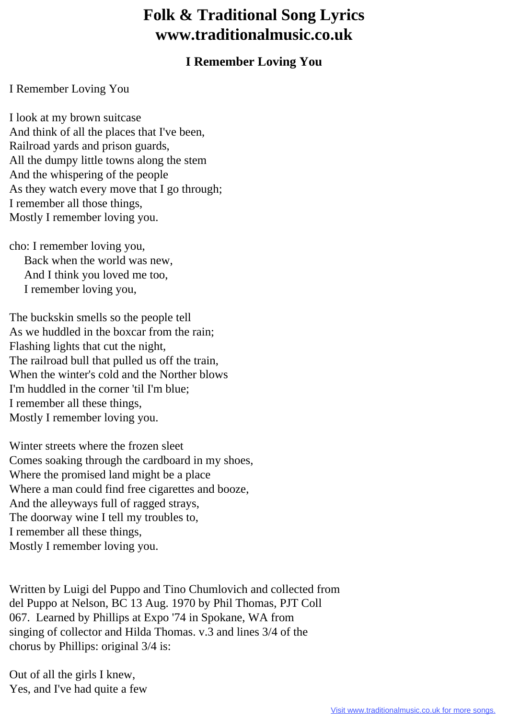## **Folk & Traditional Song Lyrics www.traditionalmusic.co.uk**

## **I Remember Loving You**

## I Remember Loving You

I look at my brown suitcase And think of all the places that I've been, Railroad yards and prison guards, All the dumpy little towns along the stem And the whispering of the people As they watch every move that I go through; I remember all those things, Mostly I remember loving you.

cho: I remember loving you, Back when the world was new, And I think you loved me too, I remember loving you,

The buckskin smells so the people tell As we huddled in the boxcar from the rain; Flashing lights that cut the night, The railroad bull that pulled us off the train, When the winter's cold and the Norther blows I'm huddled in the corner 'til I'm blue; I remember all these things, Mostly I remember loving you.

Winter streets where the frozen sleet Comes soaking through the cardboard in my shoes, Where the promised land might be a place Where a man could find free cigarettes and booze, And the alleyways full of ragged strays, The doorway wine I tell my troubles to, I remember all these things, Mostly I remember loving you.

Written by Luigi del Puppo and Tino Chumlovich and collected from del Puppo at Nelson, BC 13 Aug. 1970 by Phil Thomas, PJT Coll 067. Learned by Phillips at Expo '74 in Spokane, WA from singing of collector and Hilda Thomas. v.3 and lines 3/4 of the chorus by Phillips: original 3/4 is:

Out of all the girls I knew, Yes, and I've had quite a few